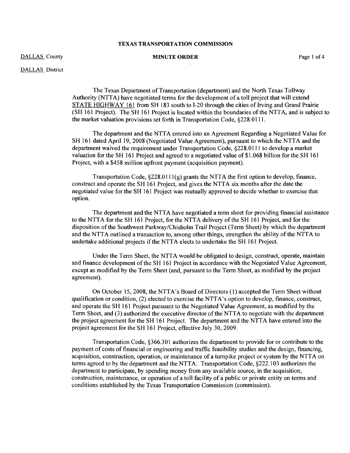## DALLAS County

## MINUTE ORDER Page 1 of 4

DALLAS District

The Texas Department of Transportation (department) and the North Texas Tollway Authority (NTIA) have negotiated terms for the development of a toll project that will extend STATE HIGHWAY 161 from SH 183 south to 1-20 through the cities of Irving and Grand Prairie (SH 161 Project). The SH 161 Project is located within the boundaries of the NTTA, and is subject to the market valuation provisions set forth in Transportation Code, §228.0111.

The department and the NTTA entered into an Agreement Regarding a Negotiated Value for SH 161 dated April 19, 2008 (Negotiated Value Agreement), pursuant to which the NTTA and the department waived the requirement under Transportation Code, §228.0111 to develop a market valuation for the SH 161 Project and agreed to a negotiated value of \$1.068 billion for the SH 161 Project, with a \$458 million upfront payment (acquisition payment).

Transportation Code,  $\S228.0111(g)$  grants the NTTA the first option to develop, finance, construct and operate the SH 161 Project, and gives the NTTA six months after the date the negotiated value for the SH 161 Project was mutually approved to decide whether to exercise that option.

The department and the NTTA have negotiated a term sheet for providing financial assistance to the NTTA for the SH 161 Project, for the NTTA delivery of the SH 161 Project, and for the disposition ofthe Southwest Parkway/Chisholm Trail Project (Term Sheet) by which the department and the NTTA outlined a transaction to, among other things, strengthen the ability of the NTTA to undertake additional projects if the NTTA elects to undertake the SH 161 Project.

Under the Term Sheet, the NTTA would be obligated to design, construct, operate, maintain and finance development of the SH 161 Project in accordance with the Negotiated Value Agreement, except as modified by the Term Sheet (and, pursuant to the Term Sheet, as modified by the project agreement).

On October IS, 2008, the NTTA's Board of Directors (I) accepted the Term Sheet without qualification or condition, (2) elected to exercise the NTTA's option to develop, finance, construct, and operate the SH 161 Project pursuant to the Negotiated Value Agreement, as modified by the Term Sheet, and (3) authorized the executive director of the NTTA to negotiate with the department the project agreement for the SH 161 Project. The department and the NTTA have entered into the project agreement for the SH 161 Project, effective July 30, 2009.

Transportation Code, §366.301 authorizes the department to provide for or contribute to the payment of costs of financial or engineering and traffic feasibility studies and the design, financing, acquisition, construction, operation, or maintenance of a turnpike project or system by the NTTA on terms agreed to by the department and the NTTA. Transportation Code, §222.1 03 authorizes the department to participate, by spending money from any available source, in the acquisition, construction, maintenance, or operation of a toll facility of a public or private entity on terms and conditions established by the Texas Transportation Commission (commission).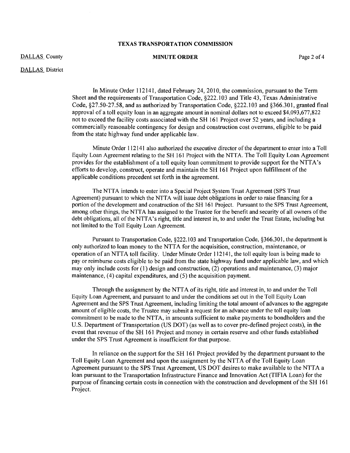DALLAS County

#### MINUTE ORDER Page 2 of 4

DALLAS District

In Minute Order 112141, dated February 24, 2010, the commission, pursuant to the Term Sheet and the requirements of Transportation Code, §222.103 and Title 43, Texas Administrative Code, §27.50-27.58, and as authorized by Transportation Code, §222.1 03 and §366.30 1, granted final approval of a toll equity loan in an aggregate amount in nominal dollars not to exceed \$4,093,677,822 not to exceed the facility costs associated with the SH 161 Project over 52 years, and including a commercially reasonable contingency for design and construction cost overruns, eligible to be paid from the state highway fund under applicable law.

Minute Order 112141 also authorized the executive director of the department to enter into a Toll Equity Loan Agreement relating to the SH 161 Project with the NTTA. The Toll Equity Loan Agreement provides for the establishment of a toll equity loan commitment to provide support for the NTTA's efforts to develop, construct, operate and maintain the SH 161 Project upon fulfillment of the applicable conditions precedent set forth in the agreement.

The NTTA intends to enter into a Special Project System Trust Agreement (SPS Trust Agreement) pursuant to which the NTTA will issue debt obligations in order to raise financing for a portion of the development and construction of the SH 161 Project. Pursuant to the SPS Trust Agreement, among other things, the NTTA has assigned to the Trustee for the benefit and security of all owners ofthe debt obligations, all of the NTTA's right, title and interest in, to and under the Trust Estate, including but not limited to the Toll Equity Loan Agreement.

Pursuant to Transportation Code, §222.103 and Transportation Code, §366.301, the department is only authorized to loan money to the NTTA for the acquisition, construction, maintenance, or operation of an NTTA toll facility. Under Minute Order 112141, the toll equity loan is being made to payor reimburse costs eligible to be paid from the state highway fund under applicable law, and which may only include costs for (l) design and construction, (2) operations and maintenance, (3) major maintenance, (4) capital expenditures, and (5) the acquisition payment.

Through the assignment by the NTTA of its right, title and interest in, to and under the Toll Equity Loan Agreement, and pursuant to and under the conditions set out in the Toll Equity Loan Agreement and the SPS Trust Agreement, including limiting the total amount of advances to the aggregate amount of eligible costs, the Trustee may submit a request for an advance under the toll equity loan commitment to be made to the NTTA, in amounts sufficient to make payments to bondholders and the U.S. Department of Transportation (US DOT) (as well as to cover pre-defined project costs), in the event that revenue of the SH 161 Project and money in certain reserve and other funds established under the SPS Trust Agreement is insufficient for that purpose.

In reliance on the support for the SH 161 Project provided by the department pursuant to the Toll Equity Loan Agreement and upon the assignment by the NTTA ofthe Toll Equity Loan Agreement pursuant to the SPS Trust Agreement, US DOT desires to make available to the NTTA a loan pursuant to the Transportation Infrastructure Finance and Innovation Act (TlFIA Loan) for the purpose offinancing certain costs in connection with the construction and development ofthe SH 161 Project.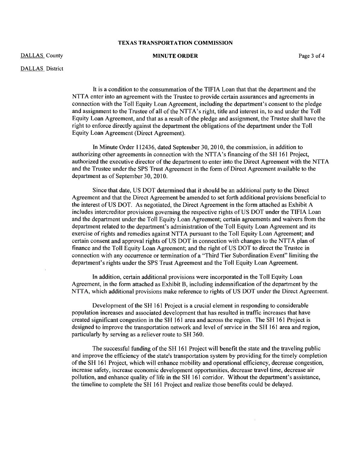DALLAS County

MINUTE ORDER Page 3 of 4

DALLAS District

It is a condition to the consummation of the TIFIA Loan that that the department and the NTTA enter into an agreement with the Trustee to provide certain assurances and agreements in connection with the Toll Equity Loan Agreement, including the department's consent to the pledge and assignment to the Trustee of all of the NTTA's right, title and interest in, to and under the Toll Equity Loan Agreement, and that as a result of the pledge and assignment, the Trustee shall have the right to enforce directly against the department the obligations of the department under the Toll Equity Loan Agreement (Direct Agreement).

In Minute Order 112436, dated September 30,2010, the commission, in addition to authorizing other agreements in connection with the NTTA's financing of the SH 161 Project, authorized the executive director of the department to enter into the Direct Agreement with the NITA and the Trustee under the SPS Trust Agreement in the form of Direct Agreement available to the department as of September 30,2010.

Since that date, US DOT determined that it should be an additional party to the Direct Agreement and that the Direct Agreement be amended to set forth additional provisions beneficial to the interest of US DOT. As negotiated, the Direct Agreement in the form attached as Exhibit A includes intercreditor provisions governing the respective rights ofUS DOT under the TIFIA Loan and the department under the Toll Equity Loan Agreement; certain agreements and waivers from the department related to the department's administration of the Toll Equity Loan Agreement and its exercise of rights and remedies against NTTA pursuant to the Toll Equity Loan Agreement; and certain consent and approval rights of US DOT in connection with changes to the NTTA plan of finance and the Toll Equity Loan Agreement; and the right of US DOT to direct the Trustee in connection with any occurrence or termination of a "Third Tier Subordination Event" limiting the department's rights under the SPS Trust Agreement and the Toll Equity Loan Agreement.

In addition, certain additional provisions were incorporated in the Toll Equity Loan Agreement, in the form attached as Exhibit B, including indemnification of the department by the NTTA, which additional provisions make reference to rights of US DOT under the Direct Agreement.

Development of the SH 161 Project is a crucial element in responding to considerable population increases and associated development that has resulted in traffic increases that have created significant congestion in the SH 161 area and across the region. The SH 161 Project is designed to improve the transportation network and level of service in the SH 161 area and region, particularly by serving as a reliever route to SH 360.

The successful funding of the SH 161 Project will benefit the state and the traveling public and improve the efficiency of the state's transportation system by providing for the timely completion ofthe SH 161 Project, which will enhance mobility and operational efficiency, decrease congestion, increase safety, increase economic development opportunities, decrease travel time, decrease air pollution, and enhance quality of life in the SH 161 corridor. Without the department's assistance, the timeline to complete the SH 161 Project and realize those benefits could be delayed.